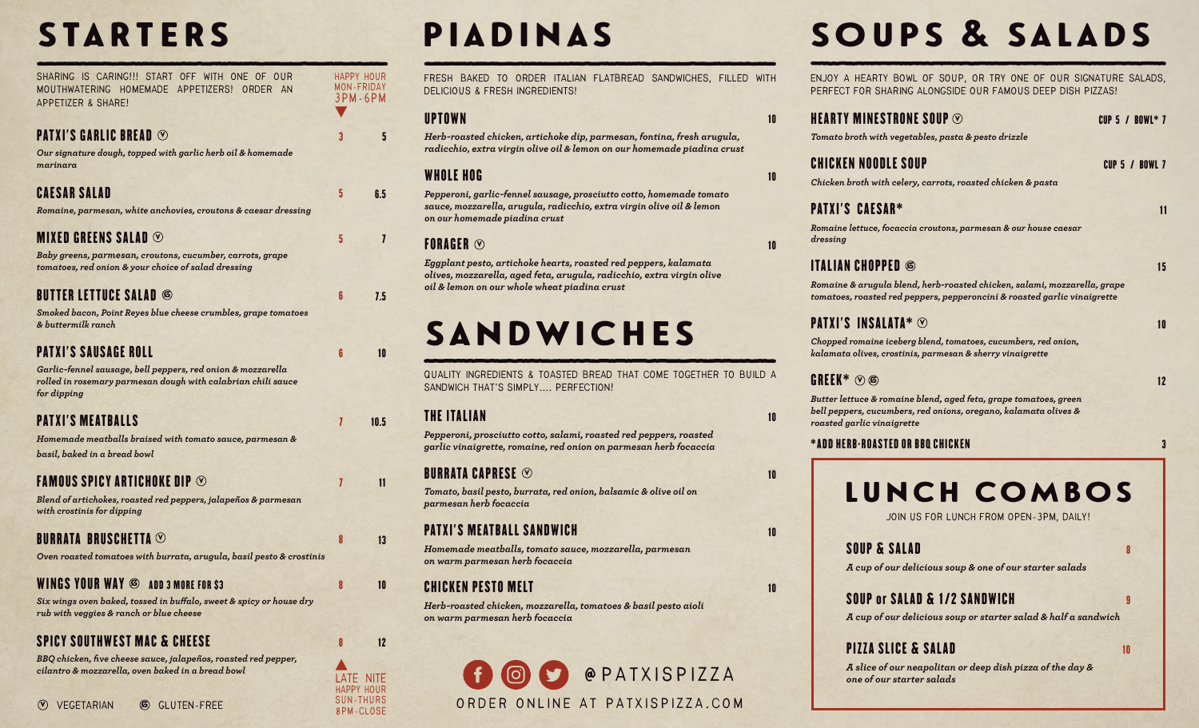## **STARTERS**

| SHARING IS CARING!!! START OFF WITH ONE OF OUR<br>MOUTHWATERING HOMEMADE APPETIZERS! ORDER<br>AN<br>APPETIZER & SHARE!                     |   | HAPPY HOUR<br>MON-FRIDAY<br>3PM-6PM |
|--------------------------------------------------------------------------------------------------------------------------------------------|---|-------------------------------------|
| PATXI'S GARLIC BREAD $\odot$                                                                                                               | 3 | 5                                   |
| Our signature dough, topped with garlic herb oil & homemade<br>marinara                                                                    |   |                                     |
| <b>CAESAR SALAD</b>                                                                                                                        | 5 | 6.5                                 |
| Romaine, parmesan, white anchovies, croutons & caesar dressing                                                                             |   |                                     |
| MIXED GREENS SALAD $\odot$                                                                                                                 | 5 | $\overline{\mathbf{I}}$             |
| Baby greens, parmesan, croutons, cucumber, carrots, grape<br>tomatoes, red onion & your choice of salad dressing                           |   |                                     |
| <b>BUTTER LETTUCE SALAD 6</b>                                                                                                              | 6 | 7.5                                 |
| Smoked bacon, Point Reyes blue cheese crumbles, grape tomatoes<br>& buttermilk ranch                                                       |   |                                     |
| <b>PATXI'S SAUSAGE ROLL</b>                                                                                                                | ĥ | 10                                  |
| Garlic-fennel sausage, bell peppers, red onion & mozzarella<br>rolled in rosemary parmesan dough with calabrian chili sauce<br>for dipping |   |                                     |
| <b>PATXI'S MEATBALLS</b>                                                                                                                   | 7 | 10.5                                |
| Homemade meatballs braised with tomato sauce, parmesan &                                                                                   |   |                                     |
| basil, baked in a bread bowl                                                                                                               |   |                                     |
| <b>FAMOUS SPICY ARTICHOKE DIP <math>\odot</math></b>                                                                                       | 7 | 11                                  |
| Blend of artichokes, roasted red peppers, jalapeños & parmesan<br>with crostinis for dipping                                               |   |                                     |
| BURRATA BRUSCHETTA $\odot$                                                                                                                 | 8 | 13                                  |
| Oven roasted tomatoes with burrata, arugula, basil pesto & crostinis                                                                       |   |                                     |
| <b>WINGS YOUR WAY 6 ADD 3 MORE FOR \$3</b>                                                                                                 | 8 | 10                                  |
| Six wings oven baked, tossed in buffalo, sweet & spicy or house dry<br>rub with veggies & ranch or blue cheese                             |   |                                     |
| <b>SPICY SOUTHWEST MAC &amp; CHEESE</b>                                                                                                    | 8 | 12                                  |
| BBQ chicken, five cheese sauce, jalapeños, roasted red pepper,                                                                             |   |                                     |

*cilantro & mozzarella, oven baked in a bread bowl* 

# piadinas

**Fresh baked to order Italian Flatbread Sandwiches, filled with delicious & Fresh Ingredients!**

10

10

10

10

10

10

10

#### UPTOWN

*Herb-roasted chicken, artichoke dip, parmesan, fontina, fresh arugula, radicchio, extra virgin olive oil & lemon on our homemade piadina crust*

#### WHOLE HOG

*Pepperoni, garlic-fennel sausage, prosciutto cotto, homemade tomato sauce, mozzarella, arugula, radicchio, extra virgin olive oil & lemon on our homemade piadina crust*

#### FORAGER  $\mathbb G$

*Eggplant pesto, artichoke hearts, roasted red peppers, kalamata olives, mozzarella, aged feta, arugula, radicchio, extra virgin olive oil & lemon on our whole wheat piadina crust*

# sandwiches

**quality ingredients & toasted bread that come together to build a sandwich that's simply.... Perfection!**

#### THE ITALIAN

*Pepperoni, prosciutto cotto, salami, roasted red peppers, roasted garlic vinaigrette, romaine, red onion on parmesan herb focaccia*

#### BURRATA CAPRESE  $\mathfrak \otimes$

*Tomato, basil pesto, burrata, red onion, balsamic & olive oil on parmesan herb focaccia*

#### PATXI'S MEATBALL SANDWICH

*Homemade meatballs, tomato sauce, mozzarella, parmesan on warm parmesan herb focaccia*

#### CHICKEN PESTO MELT

*Herb-roasted chicken, mozzarella, tomatoes & basil pesto aioli on warm parmesan herb focaccia*



# soups & salads

**ENJOY A HEARTY BOWL OF SOUP, OR TRY ONE OF OUR SIGNATURE SALADS, PERFECT FOR SHARING ALONGSIDE OUR FAMOUS DEEP DISH PIZZAS!** 

| HEARTY MINESTRONE SOUP $\odot$                                                                                                                                    | CUP 5 / BOWL* 7       |
|-------------------------------------------------------------------------------------------------------------------------------------------------------------------|-----------------------|
| Tomato broth with vegetables, pasta & pesto drizzle                                                                                                               |                       |
| <b>CHICKEN NOODLE SOUP</b>                                                                                                                                        | <b>CUP 5 / BOWL 7</b> |
| Chicken broth with celery, carrots, roasted chicken & pasta                                                                                                       |                       |
| <b>PATXI'S CAESAR*</b>                                                                                                                                            | 11                    |
| Romaine lettuce, focaccia croutons, parmesan & our house caesar<br>dressing                                                                                       |                       |
| <b>ITALIAN CHOPPED ©</b>                                                                                                                                          | 15                    |
| Romaine & arugula blend, herb-roasted chicken, salami, mozzarella, grape<br>tomatoes, roasted red peppers, pepperoncini & roasted garlic vinaigrette              |                       |
| <b>PATXI'S INSALATA*</b> $\odot$                                                                                                                                  | 10                    |
| Chopped romaine iceberg blend, tomatoes, cucumbers, red onion,<br>kalamata olives, crostinis, parmesan & sherry vinaigrette                                       |                       |
| <b>GREEK*</b> $\odot$ $\odot$                                                                                                                                     | 12                    |
| Butter lettuce & romaine blend, aged feta, grape tomatoes, green<br>bell peppers, cucumbers, red onions, oregano, kalamata olives &<br>roasted garlic vinaigrette |                       |
| *ADD HERB-ROASTED OR BBQ CHICKEN                                                                                                                                  | 3                     |
|                                                                                                                                                                   |                       |
| LUNCH COMBOS                                                                                                                                                      |                       |
| JOIN US FOR LUNCH FROM OPEN-3PM, DAILY!                                                                                                                           |                       |

SOUP & SALAD *A cup of our delicious soup & one of our starter salads*

## SOUP or SALAD & 1/2 SANDWICH

*A cup of our delicious soup or starter salad & half a sandwich*

### PIZZA SLICE & SALAD 10

*A slice of our neapolitan or deep dish pizza of the day & one of our starter salads*

**late nite HAPPY HOUR sun-thurs 8pm-close**